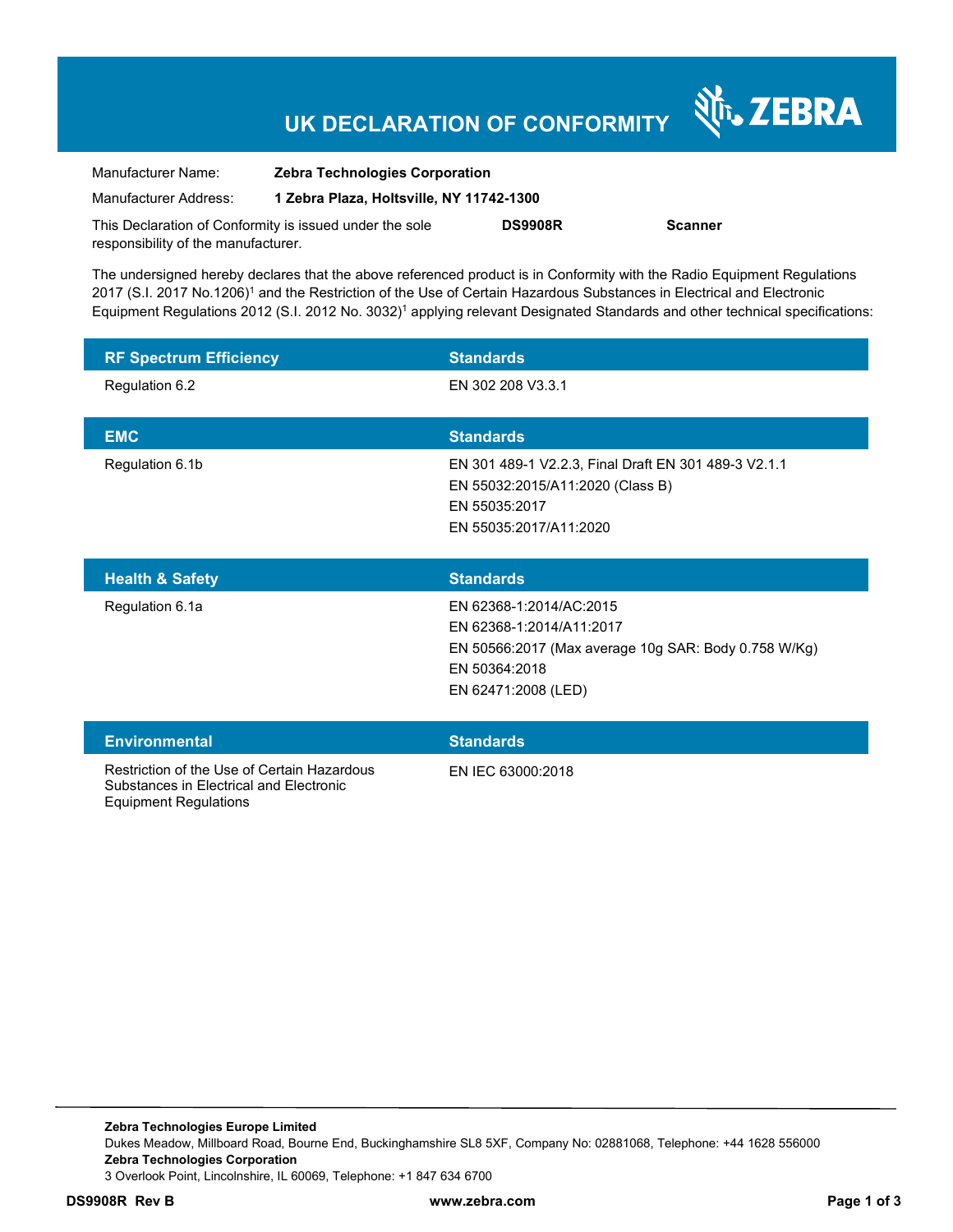## **UK DECLARATION OF CONFORMITY**

Nr. ZEBRA

| Manufacturer Name:                                      | <b>Zebra Technologies Corporation</b>    |                |                |
|---------------------------------------------------------|------------------------------------------|----------------|----------------|
| Manufacturer Address:                                   | 1 Zebra Plaza. Holtsville. NY 11742-1300 |                |                |
| This Declaration of Conformity is issued under the sole |                                          | <b>DS9908R</b> | <b>Scanner</b> |
| responsibility of the manufacturer.                     |                                          |                |                |

The undersigned hereby declares that the above referenced product is in Conformity with the Radio Equipment Regulations 2017 (S.I. 2017 No.1206)<sup>1</sup> and the Restriction of the Use of Certain Hazardous Substances in Electrical and Electronic Equipment Regulations 2012 (S.I. 2012 No. 3032)<sup>1</sup> applying relevant Designated Standards and other technical specifications:

| <b>RF Spectrum Efficiency</b>                                                                                          | <b>Standards</b>                                                                                                                                    |
|------------------------------------------------------------------------------------------------------------------------|-----------------------------------------------------------------------------------------------------------------------------------------------------|
| Regulation 6.2                                                                                                         | EN 302 208 V3.3.1                                                                                                                                   |
| <b>EMC</b>                                                                                                             | <b>Standards</b>                                                                                                                                    |
| Regulation 6.1b                                                                                                        | EN 301 489-1 V2.2.3, Final Draft EN 301 489-3 V2.1.1<br>EN 55032:2015/A11:2020 (Class B)<br>EN 55035:2017<br>EN 55035:2017/A11:2020                 |
| <b>Health &amp; Safety</b>                                                                                             | <b>Standards</b>                                                                                                                                    |
| Regulation 6.1a                                                                                                        | EN 62368-1:2014/AC:2015<br>EN 62368-1:2014/A11:2017<br>EN 50566:2017 (Max average 10g SAR: Body 0.758 W/Kg)<br>EN 50364:2018<br>EN 62471:2008 (LED) |
| <b>Environmental</b>                                                                                                   | <b>Standards</b>                                                                                                                                    |
| Restriction of the Use of Certain Hazardous<br>Substances in Electrical and Electronic<br><b>Equipment Regulations</b> | EN IEC 63000:2018                                                                                                                                   |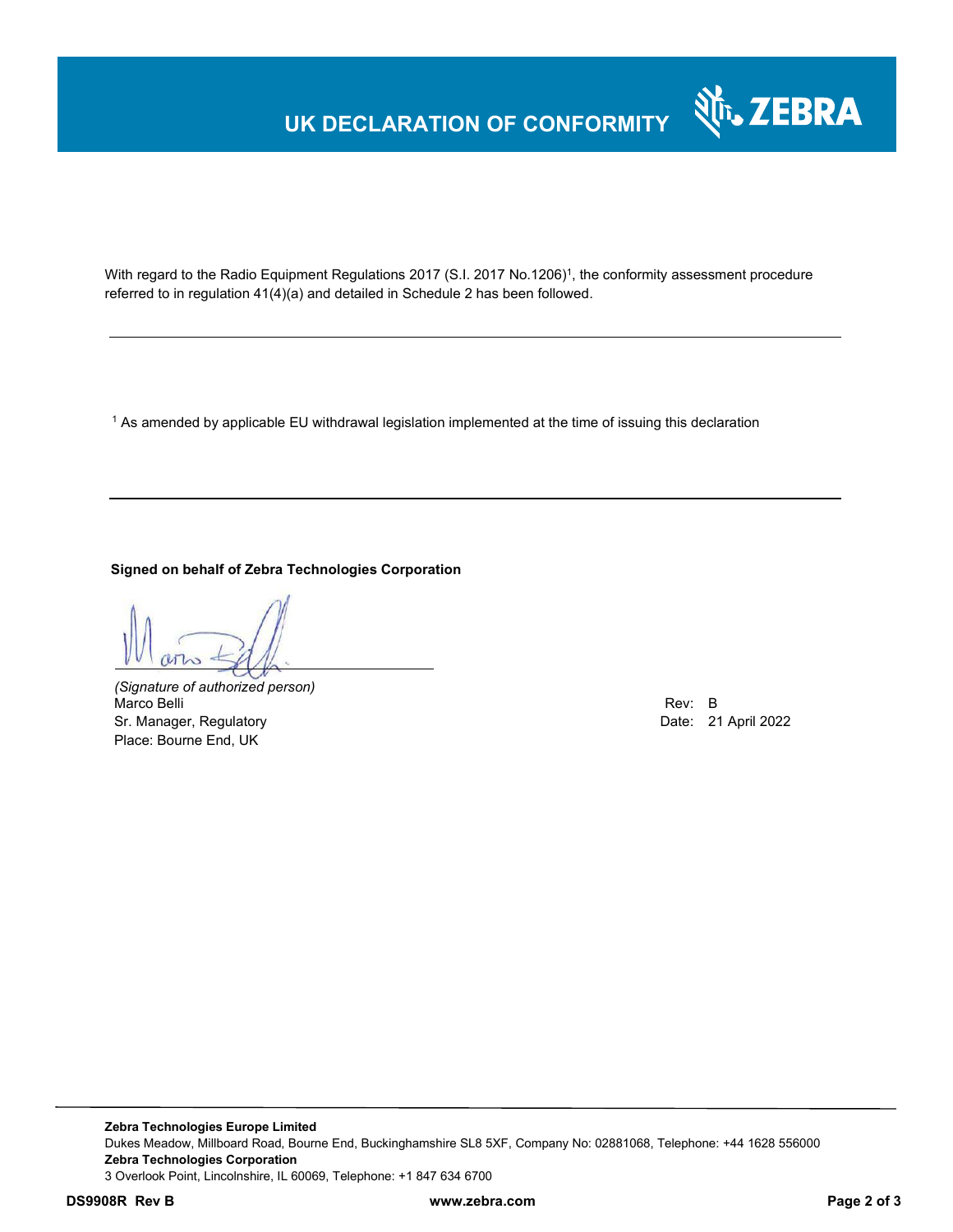### **UK DECLARATION OF CONFORMITY**



With regard to the Radio Equipment Regulations 2017 (S.I. 2017 No.1206)<sup>1</sup>, the conformity assessment procedure referred to in regulation 41(4)(a) and detailed in Schedule 2 has been followed.

 $^{\rm 1}$  As amended by applicable EU withdrawal legislation implemented at the time of issuing this declaration

### **Signed on behalf of Zebra Technologies Corporation**

*(Signature of authorized person)* Marco Belli Rev: B Rev: B Rev: B Rev: B Rev: B Rev: B Rev: B Rev: B Rev: B Rev: B Rev: B Rev: B Rev: B Rev: B Rev: B  $\sim$  Rev: B  $\sim$  Rev: B  $\sim$  Rev: B  $\sim$  Rev: B  $\sim$  Rev: B  $\sim$  Rev: B  $\sim$  Rev: B  $\sim$  Rev: B  $\sim$  Rev: Sr. Manager, Regulatory **Date: 21 April 2022** Place: Bourne End, UK